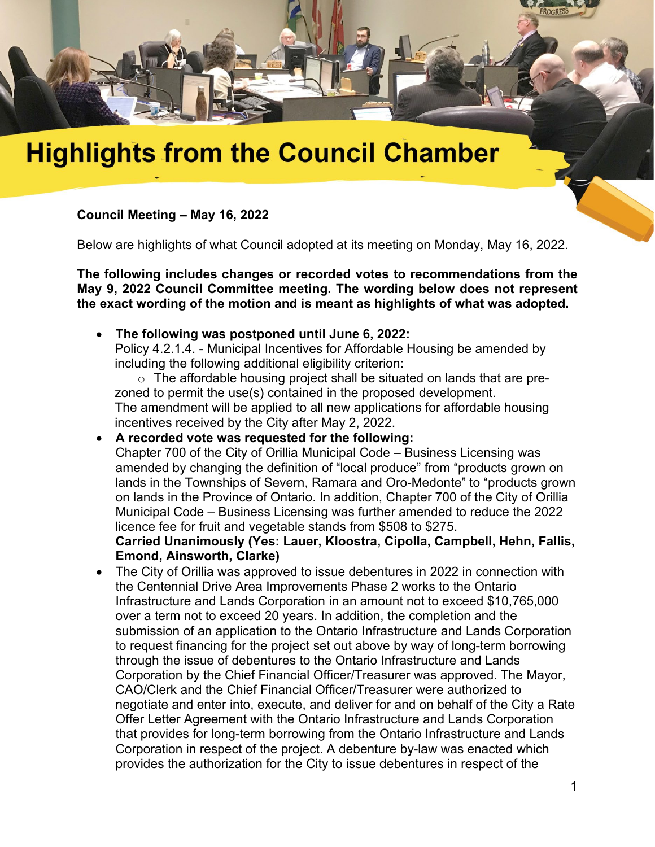

# **Highlights from the Council Chamber**

## **Council Meeting – May 16, 2022**

Below are highlights of what Council adopted at its meeting on Monday, May 16, 2022.

**The following includes changes or recorded votes to recommendations from the May 9, 2022 Council Committee meeting. The wording below does not represent the exact wording of the motion and is meant as highlights of what was adopted.**

• **The following was postponed until June 6, 2022:**

Policy 4.2.1.4. - Municipal Incentives for Affordable Housing be amended by including the following additional eligibility criterion:

o The affordable housing project shall be situated on lands that are prezoned to permit the use(s) contained in the proposed development. The amendment will be applied to all new applications for affordable housing incentives received by the City after May 2, 2022.

• **A recorded vote was requested for the following:**

Chapter 700 of the City of Orillia Municipal Code – Business Licensing was amended by changing the definition of "local produce" from "products grown on lands in the Townships of Severn, Ramara and Oro-Medonte" to "products grown on lands in the Province of Ontario. In addition, Chapter 700 of the City of Orillia Municipal Code – Business Licensing was further amended to reduce the 2022 licence fee for fruit and vegetable stands from \$508 to \$275.

#### **Carried Unanimously (Yes: Lauer, Kloostra, Cipolla, Campbell, Hehn, Fallis, Emond, Ainsworth, Clarke)**

• The City of Orillia was approved to issue debentures in 2022 in connection with the Centennial Drive Area Improvements Phase 2 works to the Ontario Infrastructure and Lands Corporation in an amount not to exceed \$10,765,000 over a term not to exceed 20 years. In addition, the completion and the submission of an application to the Ontario Infrastructure and Lands Corporation to request financing for the project set out above by way of long-term borrowing through the issue of debentures to the Ontario Infrastructure and Lands Corporation by the Chief Financial Officer/Treasurer was approved. The Mayor, CAO/Clerk and the Chief Financial Officer/Treasurer were authorized to negotiate and enter into, execute, and deliver for and on behalf of the City a Rate Offer Letter Agreement with the Ontario Infrastructure and Lands Corporation that provides for long-term borrowing from the Ontario Infrastructure and Lands Corporation in respect of the project. A debenture by-law was enacted which provides the authorization for the City to issue debentures in respect of the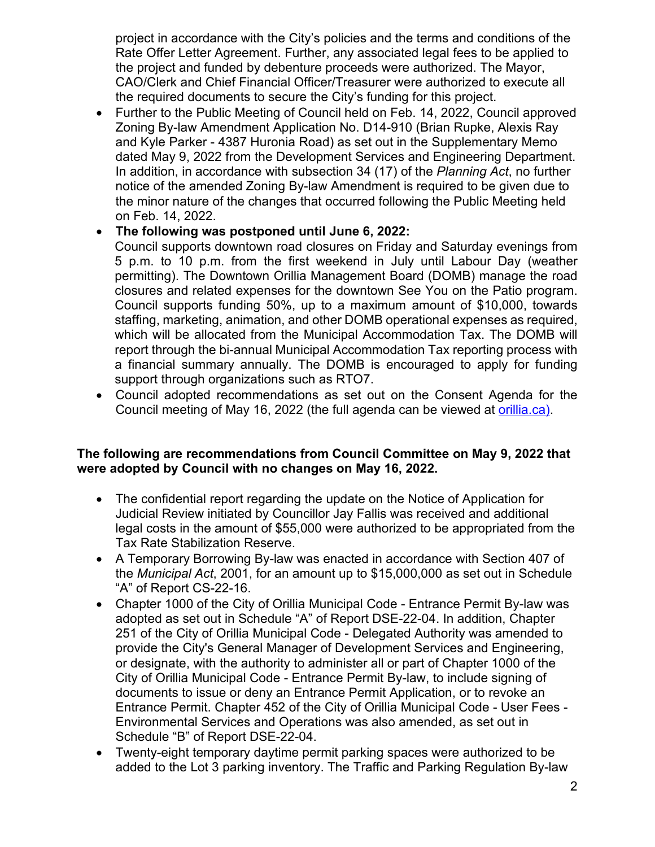project in accordance with the City's policies and the terms and conditions of the Rate Offer Letter Agreement. Further, any associated legal fees to be applied to the project and funded by debenture proceeds were authorized. The Mayor, CAO/Clerk and Chief Financial Officer/Treasurer were authorized to execute all the required documents to secure the City's funding for this project.

• Further to the Public Meeting of Council held on Feb. 14, 2022, Council approved Zoning By-law Amendment Application No. D14-910 (Brian Rupke, Alexis Ray and Kyle Parker - 4387 Huronia Road) as set out in the Supplementary Memo dated May 9, 2022 from the Development Services and Engineering Department. In addition, in accordance with subsection 34 (17) of the *Planning Act*, no further notice of the amended Zoning By-law Amendment is required to be given due to the minor nature of the changes that occurred following the Public Meeting held on Feb. 14, 2022.

## • **The following was postponed until June 6, 2022:**

Council supports downtown road closures on Friday and Saturday evenings from 5 p.m. to 10 p.m. from the first weekend in July until Labour Day (weather permitting). The Downtown Orillia Management Board (DOMB) manage the road closures and related expenses for the downtown See You on the Patio program. Council supports funding 50%, up to a maximum amount of \$10,000, towards staffing, marketing, animation, and other DOMB operational expenses as required, which will be allocated from the Municipal Accommodation Tax. The DOMB will report through the bi-annual Municipal Accommodation Tax reporting process with a financial summary annually. The DOMB is encouraged to apply for funding support through organizations such as RTO7.

• Council adopted recommendations as set out on the Consent Agenda for the Council meeting of May 16, 2022 (the full agenda can be viewed at [orillia.ca\)](http://orillia.ca/).

### **The following are recommendations from Council Committee on May 9, 2022 that were adopted by Council with no changes on May 16, 2022.**

- The confidential report regarding the update on the Notice of Application for Judicial Review initiated by Councillor Jay Fallis was received and additional legal costs in the amount of \$55,000 were authorized to be appropriated from the Tax Rate Stabilization Reserve.
- A Temporary Borrowing By-law was enacted in accordance with Section 407 of the *Municipal Act*, 2001, for an amount up to \$15,000,000 as set out in Schedule "A" of Report CS-22-16.
- Chapter 1000 of the City of Orillia Municipal Code Entrance Permit By-law was adopted as set out in Schedule "A" of Report DSE-22-04. In addition, Chapter 251 of the City of Orillia Municipal Code - Delegated Authority was amended to provide the City's General Manager of Development Services and Engineering, or designate, with the authority to administer all or part of Chapter 1000 of the City of Orillia Municipal Code - Entrance Permit By-law, to include signing of documents to issue or deny an Entrance Permit Application, or to revoke an Entrance Permit. Chapter 452 of the City of Orillia Municipal Code - User Fees - Environmental Services and Operations was also amended, as set out in Schedule "B" of Report DSE-22-04.
- Twenty-eight temporary daytime permit parking spaces were authorized to be added to the Lot 3 parking inventory. The Traffic and Parking Regulation By-law